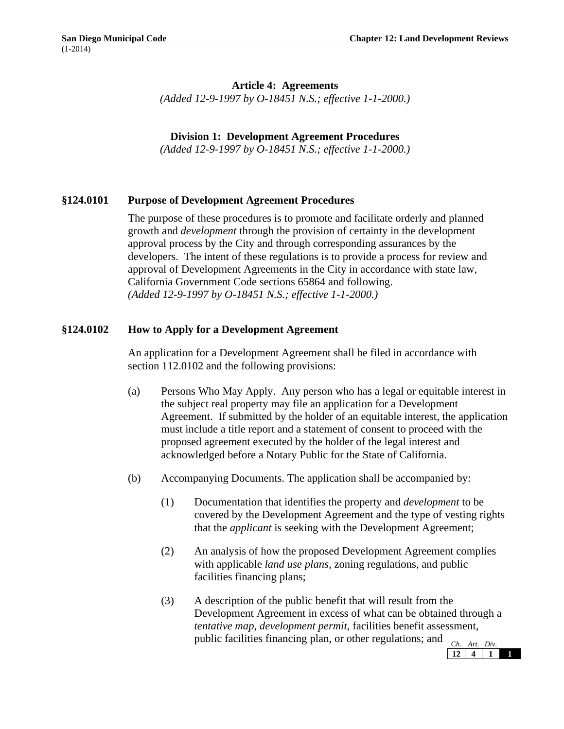#### **Article 4: Agreements**

*(Added 12-9-1997 by O-18451 N.S.; effective 1-1-2000.)*

**Division 1: Development Agreement Procedures**

*(Added 12-9-1997 by O-18451 N.S.; effective 1-1-2000.)*

### **§124.0101 Purpose of Development Agreement Procedures**

The purpose of these procedures is to promote and facilitate orderly and planned growth and *development* through the provision of certainty in the development approval process by the City and through corresponding assurances by the developers. The intent of these regulations is to provide a process for review and approval of Development Agreements in the City in accordance with state law, California Government Code sections 65864 and following. *(Added 12-9-1997 by O-18451 N.S.; effective 1-1-2000.)*

### **§124.0102 How to Apply for a Development Agreement**

An application for a Development Agreement shall be filed in accordance with section 112.0102 and the following provisions:

- (a) Persons Who May Apply. Any person who has a legal or equitable interest in the subject real property may file an application for a Development Agreement. If submitted by the holder of an equitable interest, the application must include a title report and a statement of consent to proceed with the proposed agreement executed by the holder of the legal interest and acknowledged before a Notary Public for the State of California.
- (b) Accompanying Documents. The application shall be accompanied by:
	- (1) Documentation that identifies the property and *development* to be covered by the Development Agreement and the type of vesting rights that the *applicant* is seeking with the Development Agreement;
	- (2) An analysis of how the proposed Development Agreement complies with applicable *land use plans*, zoning regulations, and public facilities financing plans;
	- *Ch. Art. Div.* (3) A description of the public benefit that will result from the Development Agreement in excess of what can be obtained through a *tentative map*, *development permit*, facilities benefit assessment, public facilities financing plan, or other regulations; and

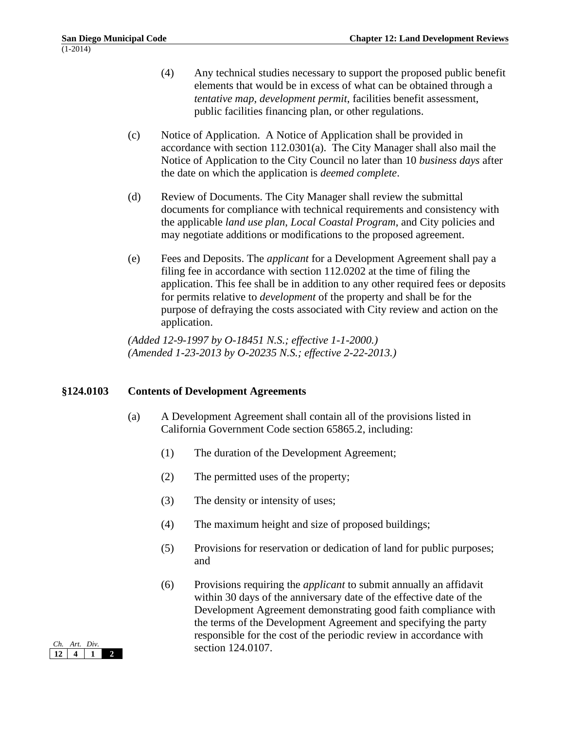- (4) Any technical studies necessary to support the proposed public benefit elements that would be in excess of what can be obtained through a *tentative map*, *development permit*, facilities benefit assessment, public facilities financing plan, or other regulations.
- (c) Notice of Application. A Notice of Application shall be provided in accordance with section 112.0301(a). The City Manager shall also mail the Notice of Application to the City Council no later than 10 *business days* after the date on which the application is *deemed complete*.
- (d) Review of Documents. The City Manager shall review the submittal documents for compliance with technical requirements and consistency with the applicable *land use plan*, *Local Coastal Program*, and City policies and may negotiate additions or modifications to the proposed agreement.
- (e) Fees and Deposits. The *applicant* for a Development Agreement shall pay a filing fee in accordance with section 112.0202 at the time of filing the application. This fee shall be in addition to any other required fees or deposits for permits relative to *development* of the property and shall be for the purpose of defraying the costs associated with City review and action on the application.

*(Added 12-9-1997 by O-18451 N.S.; effective 1-1-2000.) (Amended 1-23-2013 by O-20235 N.S.; effective 2-22-2013.)*

# **§124.0103 Contents of Development Agreements**

- (a) A Development Agreement shall contain all of the provisions listed in California Government Code section 65865.2, including:
	- (1) The duration of the Development Agreement;
	- (2) The permitted uses of the property;
	- (3) The density or intensity of uses;
	- (4) The maximum height and size of proposed buildings;
	- (5) Provisions for reservation or dedication of land for public purposes; and
	- (6) Provisions requiring the *applicant* to submit annually an affidavit within 30 days of the anniversary date of the effective date of the Development Agreement demonstrating good faith compliance with the terms of the Development Agreement and specifying the party responsible for the cost of the periodic review in accordance with section 124.0107.

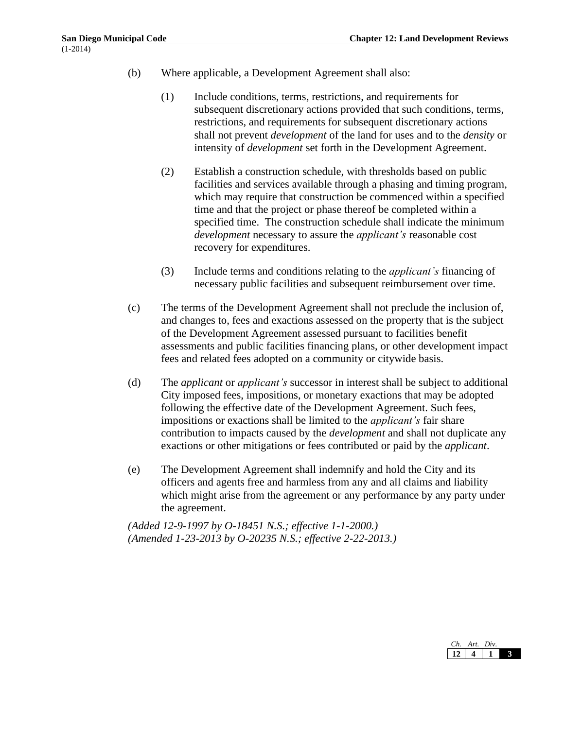- (b) Where applicable, a Development Agreement shall also:
	- (1) Include conditions, terms, restrictions, and requirements for subsequent discretionary actions provided that such conditions, terms, restrictions, and requirements for subsequent discretionary actions shall not prevent *development* of the land for uses and to the *density* or intensity of *development* set forth in the Development Agreement.
	- (2) Establish a construction schedule, with thresholds based on public facilities and services available through a phasing and timing program, which may require that construction be commenced within a specified time and that the project or phase thereof be completed within a specified time. The construction schedule shall indicate the minimum *development* necessary to assure the *applicant's* reasonable cost recovery for expenditures.
	- (3) Include terms and conditions relating to the *applicant's* financing of necessary public facilities and subsequent reimbursement over time.
- (c) The terms of the Development Agreement shall not preclude the inclusion of, and changes to, fees and exactions assessed on the property that is the subject of the Development Agreement assessed pursuant to facilities benefit assessments and public facilities financing plans, or other development impact fees and related fees adopted on a community or citywide basis.
- (d) The *applicant* or *applicant's* successor in interest shall be subject to additional City imposed fees, impositions, or monetary exactions that may be adopted following the effective date of the Development Agreement. Such fees, impositions or exactions shall be limited to the *applicant's* fair share contribution to impacts caused by the *development* and shall not duplicate any exactions or other mitigations or fees contributed or paid by the *applicant*.
- (e) The Development Agreement shall indemnify and hold the City and its officers and agents free and harmless from any and all claims and liability which might arise from the agreement or any performance by any party under the agreement.

*(Added 12-9-1997 by O-18451 N.S.; effective 1-1-2000.) (Amended 1-23-2013 by O-20235 N.S.; effective 2-22-2013.)*

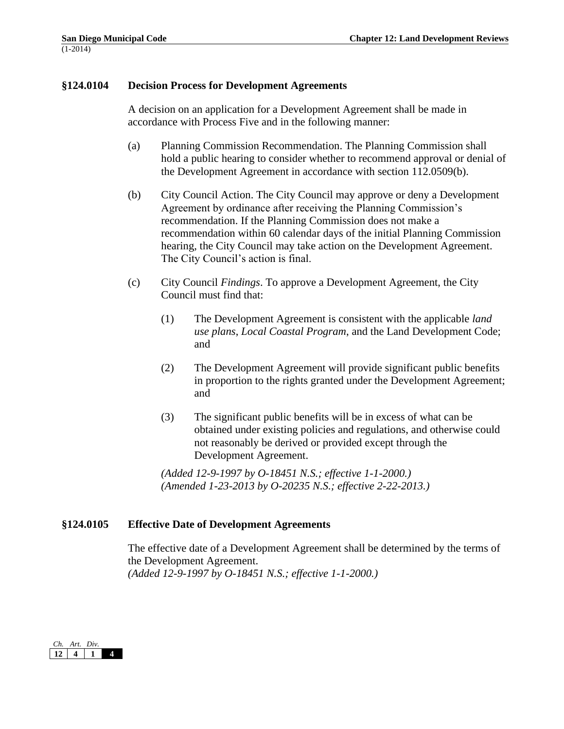# **§124.0104 Decision Process for Development Agreements**

A decision on an application for a Development Agreement shall be made in accordance with Process Five and in the following manner:

- (a) Planning Commission Recommendation. The Planning Commission shall hold a public hearing to consider whether to recommend approval or denial of the Development Agreement in accordance with section 112.0509(b).
- (b) City Council Action. The City Council may approve or deny a Development Agreement by ordinance after receiving the Planning Commission's recommendation. If the Planning Commission does not make a recommendation within 60 calendar days of the initial Planning Commission hearing, the City Council may take action on the Development Agreement. The City Council's action is final.
- (c) City Council *Findings*. To approve a Development Agreement, the City Council must find that:
	- (1) The Development Agreement is consistent with the applicable *land use plans*, *Local Coastal Program*, and the Land Development Code; and
	- (2) The Development Agreement will provide significant public benefits in proportion to the rights granted under the Development Agreement; and
	- (3) The significant public benefits will be in excess of what can be obtained under existing policies and regulations, and otherwise could not reasonably be derived or provided except through the Development Agreement.

*(Added 12-9-1997 by O-18451 N.S.; effective 1-1-2000.) (Amended 1-23-2013 by O-20235 N.S.; effective 2-22-2013.)*

#### **§124.0105 Effective Date of Development Agreements**

The effective date of a Development Agreement shall be determined by the terms of the Development Agreement. *(Added 12-9-1997 by O-18451 N.S.; effective 1-1-2000.)*

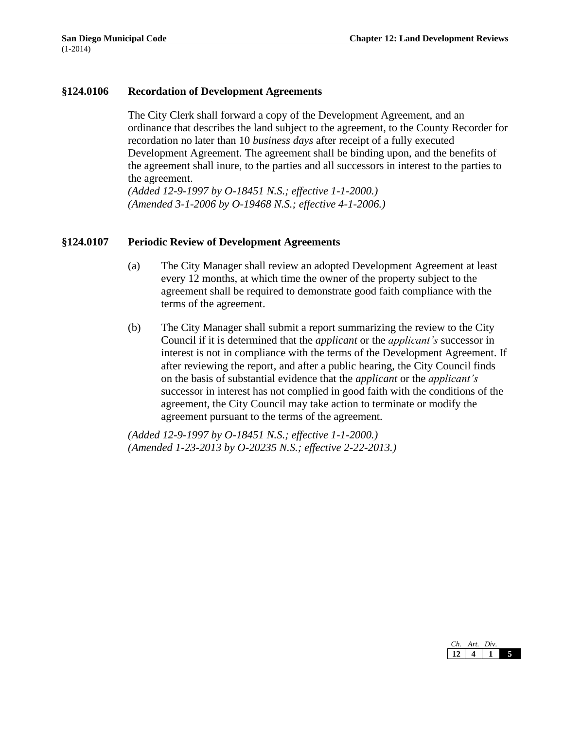# **§124.0106 Recordation of Development Agreements**

The City Clerk shall forward a copy of the Development Agreement, and an ordinance that describes the land subject to the agreement, to the County Recorder for recordation no later than 10 *business days* after receipt of a fully executed Development Agreement. The agreement shall be binding upon, and the benefits of the agreement shall inure, to the parties and all successors in interest to the parties to the agreement.

*(Added 12-9-1997 by O-18451 N.S.; effective 1-1-2000.) (Amended 3-1-2006 by O-19468 N.S.; effective 4-1-2006.)*

# **§124.0107 Periodic Review of Development Agreements**

- (a) The City Manager shall review an adopted Development Agreement at least every 12 months, at which time the owner of the property subject to the agreement shall be required to demonstrate good faith compliance with the terms of the agreement.
- (b) The City Manager shall submit a report summarizing the review to the City Council if it is determined that the *applicant* or the *applicant's* successor in interest is not in compliance with the terms of the Development Agreement. If after reviewing the report, and after a public hearing, the City Council finds on the basis of substantial evidence that the *applicant* or the *applicant's*  successor in interest has not complied in good faith with the conditions of the agreement, the City Council may take action to terminate or modify the agreement pursuant to the terms of the agreement.

*(Added 12-9-1997 by O-18451 N.S.; effective 1-1-2000.) (Amended 1-23-2013 by O-20235 N.S.; effective 2-22-2013.)*